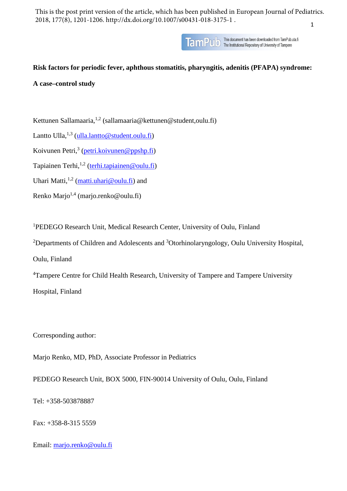1 This is the post print version of the article, which has been published in European Journal of Pediatrics. 2018, 177(8), 1201-1206. http://dx.doi.org/10.1007/s00431-018-3175-1 .



# **Risk factors for periodic fever, aphthous stomatitis, pharyngitis, adenitis (PFAPA) syndrome:**

# **A case–control study**

Kettunen Sallamaaria,<sup>1,2</sup> (sallamaaria@kettunen@student,oulu.fi)

Lantto Ulla, $^{1,3}$  (ulla, lantto @student.oulu.fi)

Koivunen Petri,<sup>3</sup> [\(petri.koivunen@ppshp.fi\)](mailto:petri.koivunen@ppshp.fi)

Tapiainen Terhi,<sup>1,2</sup> [\(terhi.tapiainen@oulu.fi\)](mailto:terhi.tapiainen@oulu.fi)

Uhari Matti,  $\frac{1}{2}$  (matti, uhari @oulu.fi) and

Renko Mario<sup>1,4</sup> (mario.renko@oulu.fi)

1 PEDEGO Research Unit, Medical Research Center, University of Oulu, Finland

<sup>2</sup>Departments of Children and Adolescents and <sup>3</sup>Otorhinolaryngology, Oulu University Hospital, Oulu, Finland

<sup>4</sup>Tampere Centre for Child Health Research, University of Tampere and Tampere University

Hospital, Finland

Corresponding author:

Marjo Renko, MD, PhD, Associate Professor in Pediatrics

PEDEGO Research Unit, BOX 5000, FIN-90014 University of Oulu, Oulu, Finland

Tel: +358-503878887

Fax: +358-8-315 5559

Email: [marjo.renko@oulu.fi](mailto:marjo.renko@oulu.fi)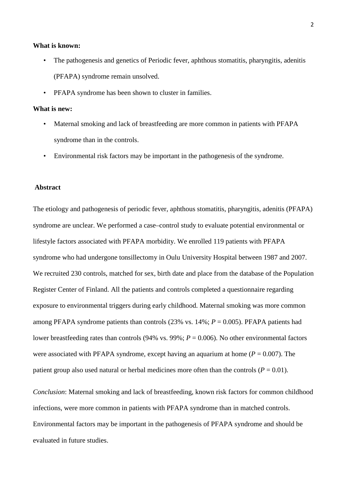# **What is known:**

- The pathogenesis and genetics of Periodic fever, aphthous stomatitis, pharyngitis, adenitis (PFAPA) syndrome remain unsolved.
- PFAPA syndrome has been shown to cluster in families.

# **What is new:**

- Maternal smoking and lack of breastfeeding are more common in patients with PFAPA syndrome than in the controls.
- Environmental risk factors may be important in the pathogenesis of the syndrome.

# **Abstract**

The etiology and pathogenesis of periodic fever, aphthous stomatitis, pharyngitis, adenitis (PFAPA) syndrome are unclear. We performed a case–control study to evaluate potential environmental or lifestyle factors associated with PFAPA morbidity. We enrolled 119 patients with PFAPA syndrome who had undergone tonsillectomy in Oulu University Hospital between 1987 and 2007. We recruited 230 controls, matched for sex, birth date and place from the database of the Population Register Center of Finland. All the patients and controls completed a questionnaire regarding exposure to environmental triggers during early childhood. Maternal smoking was more common among PFAPA syndrome patients than controls  $(23\% \text{ vs. } 14\%; P = 0.005)$ . PFAPA patients had lower breastfeeding rates than controls (94% vs. 99%; *P* = 0.006). No other environmental factors were associated with PFAPA syndrome, except having an aquarium at home ( $P = 0.007$ ). The patient group also used natural or herbal medicines more often than the controls ( $P = 0.01$ ).

*Conclusion*: Maternal smoking and lack of breastfeeding, known risk factors for common childhood infections, were more common in patients with PFAPA syndrome than in matched controls. Environmental factors may be important in the pathogenesis of PFAPA syndrome and should be evaluated in future studies.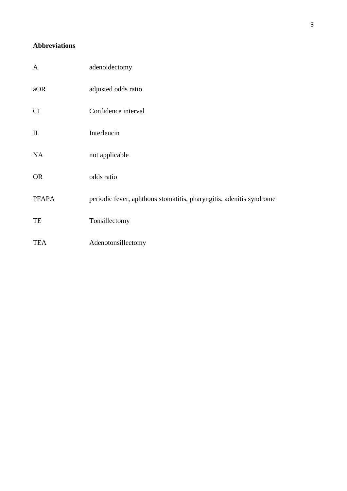# **Abbreviations**

| $\mathbf{A}$           | adenoidectomy                                                       |
|------------------------|---------------------------------------------------------------------|
| aOR                    | adjusted odds ratio                                                 |
| <b>CI</b>              | Confidence interval                                                 |
| $\mathop{\mathrm{IL}}$ | Interleucin                                                         |
| <b>NA</b>              | not applicable                                                      |
| <b>OR</b>              | odds ratio                                                          |
| <b>PFAPA</b>           | periodic fever, aphthous stomatitis, pharyngitis, adenitis syndrome |
| TE                     | Tonsillectomy                                                       |
| <b>TEA</b>             | Adenotonsillectomy                                                  |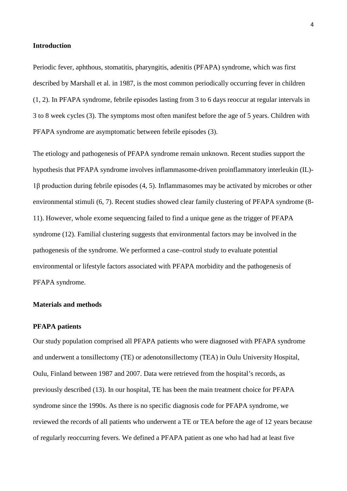# **Introduction**

Periodic fever, aphthous, stomatitis, pharyngitis, adenitis (PFAPA) syndrome, which was first described by Marshall et al. in 1987, is the most common periodically occurring fever in children (1, 2). In PFAPA syndrome, febrile episodes lasting from 3 to 6 days reoccur at regular intervals in 3 to 8 week cycles (3). The symptoms most often manifest before the age of 5 years. Children with PFAPA syndrome are asymptomatic between febrile episodes (3).

The etiology and pathogenesis of PFAPA syndrome remain unknown. Recent studies support the hypothesis that PFAPA syndrome involves inflammasome-driven proinflammatory interleukin (IL)- 1β production during febrile episodes (4, 5). Inflammasomes may be activated by microbes or other environmental stimuli (6, 7). Recent studies showed clear family clustering of PFAPA syndrome (8- 11). However, whole exome sequencing failed to find a unique gene as the trigger of PFAPA syndrome (12). Familial clustering suggests that environmental factors may be involved in the pathogenesis of the syndrome. We performed a case–control study to evaluate potential environmental or lifestyle factors associated with PFAPA morbidity and the pathogenesis of PFAPA syndrome.

# **Materials and methods**

# **PFAPA patients**

Our study population comprised all PFAPA patients who were diagnosed with PFAPA syndrome and underwent a tonsillectomy (TE) or adenotonsillectomy (TEA) in Oulu University Hospital, Oulu, Finland between 1987 and 2007. Data were retrieved from the hospital's records, as previously described (13). In our hospital, TE has been the main treatment choice for PFAPA syndrome since the 1990s. As there is no specific diagnosis code for PFAPA syndrome, we reviewed the records of all patients who underwent a TE or TEA before the age of 12 years because of regularly reoccurring fevers. We defined a PFAPA patient as one who had had at least five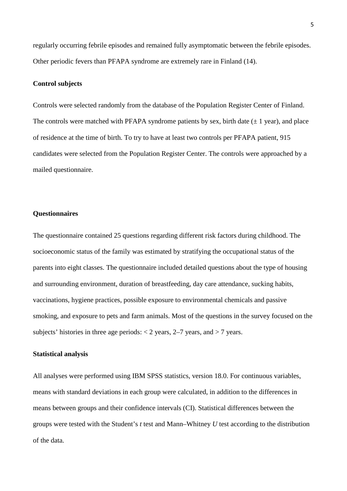regularly occurring febrile episodes and remained fully asymptomatic between the febrile episodes. Other periodic fevers than PFAPA syndrome are extremely rare in Finland (14).

#### **Control subjects**

Controls were selected randomly from the database of the Population Register Center of Finland. The controls were matched with PFAPA syndrome patients by sex, birth date  $(\pm 1 \text{ year})$ , and place of residence at the time of birth. To try to have at least two controls per PFAPA patient, 915 candidates were selected from the Population Register Center. The controls were approached by a mailed questionnaire.

# **Questionnaires**

The questionnaire contained 25 questions regarding different risk factors during childhood. The socioeconomic status of the family was estimated by stratifying the occupational status of the parents into eight classes. The questionnaire included detailed questions about the type of housing and surrounding environment, duration of breastfeeding, day care attendance, sucking habits, vaccinations, hygiene practices, possible exposure to environmental chemicals and passive smoking, and exposure to pets and farm animals. Most of the questions in the survey focused on the subjects' histories in three age periods:  $\langle 2 \rangle$  years,  $2-7$  years, and  $> 7$  years.

# **Statistical analysis**

All analyses were performed using IBM SPSS statistics, version 18.0. For continuous variables, means with standard deviations in each group were calculated, in addition to the differences in means between groups and their confidence intervals (CI). Statistical differences between the groups were tested with the Student's *t* test and Mann–Whitney *U* test according to the distribution of the data.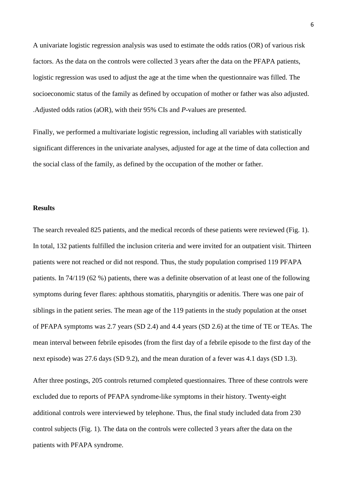A univariate logistic regression analysis was used to estimate the odds ratios (OR) of various risk factors. As the data on the controls were collected 3 years after the data on the PFAPA patients, logistic regression was used to adjust the age at the time when the questionnaire was filled. The socioeconomic status of the family as defined by occupation of mother or father was also adjusted. .Adjusted odds ratios (aOR), with their 95% CIs and *P*-values are presented.

Finally, we performed a multivariate logistic regression, including all variables with statistically significant differences in the univariate analyses, adjusted for age at the time of data collection and the social class of the family, as defined by the occupation of the mother or father.

# **Results**

The search revealed 825 patients, and the medical records of these patients were reviewed (Fig. 1). In total, 132 patients fulfilled the inclusion criteria and were invited for an outpatient visit. Thirteen patients were not reached or did not respond. Thus, the study population comprised 119 PFAPA patients. In 74/119 (62 %) patients, there was a definite observation of at least one of the following symptoms during fever flares: aphthous stomatitis, pharyngitis or adenitis. There was one pair of siblings in the patient series. The mean age of the 119 patients in the study population at the onset of PFAPA symptoms was 2.7 years (SD 2.4) and 4.4 years (SD 2.6) at the time of TE or TEAs. The mean interval between febrile episodes (from the first day of a febrile episode to the first day of the next episode) was 27.6 days (SD 9.2), and the mean duration of a fever was 4.1 days (SD 1.3).

After three postings, 205 controls returned completed questionnaires. Three of these controls were excluded due to reports of PFAPA syndrome-like symptoms in their history. Twenty-eight additional controls were interviewed by telephone. Thus, the final study included data from 230 control subjects (Fig. 1). The data on the controls were collected 3 years after the data on the patients with PFAPA syndrome.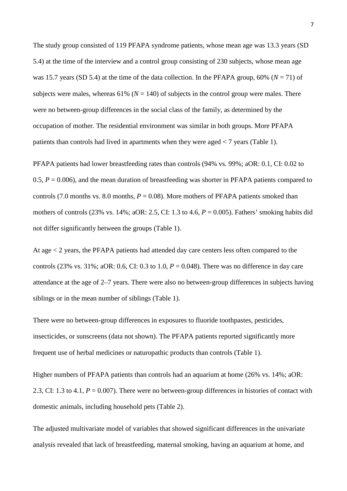The study group consisted of 119 PFAPA syndrome patients, whose mean age was 13.3 years (SD 5.4) at the time of the interview and a control group consisting of 230 subjects, whose mean age was 15.7 years (SD 5.4) at the time of the data collection. In the PFAPA group,  $60\%$  ( $N = 71$ ) of subjects were males, whereas 61% ( $N = 140$ ) of subjects in the control group were males. There were no between-group differences in the social class of the family, as determined by the occupation of mother. The residential environment was similar in both groups. More PFAPA patients than controls had lived in apartments when they were aged < 7 years (Table 1).

PFAPA patients had lower breastfeeding rates than controls (94% vs. 99%; aOR: 0.1, CI: 0.02 to 0.5,  $P = 0.006$ ), and the mean duration of breastfeeding was shorter in PFAPA patients compared to controls (7.0 months vs. 8.0 months,  $P = 0.08$ ). More mothers of PFAPA patients smoked than mothers of controls (23% vs. 14%; aOR: 2.5, CI: 1.3 to 4.6, *P* = 0.005). Fathers' smoking habits did not differ significantly between the groups (Table 1).

At age < 2 years, the PFAPA patients had attended day care centers less often compared to the controls (23% vs. 31%; aOR: 0.6, CI: 0.3 to 1.0,  $P = 0.048$ ). There was no difference in day care attendance at the age of 2–7 years. There were also no between-group differences in subjects having siblings or in the mean number of siblings (Table 1).

There were no between-group differences in exposures to fluoride toothpastes, pesticides, insecticides, or sunscreens (data not shown). The PFAPA patients reported significantly more frequent use of herbal medicines or naturopathic products than controls (Table 1).

Higher numbers of PFAPA patients than controls had an aquarium at home (26% vs. 14%; aOR: 2.3, CI: 1.3 to 4.1, *P* = 0.007). There were no between-group differences in histories of contact with domestic animals, including household pets (Table 2).

The adjusted multivariate model of variables that showed significant differences in the univariate analysis revealed that lack of breastfeeding, maternal smoking, having an aquarium at home, and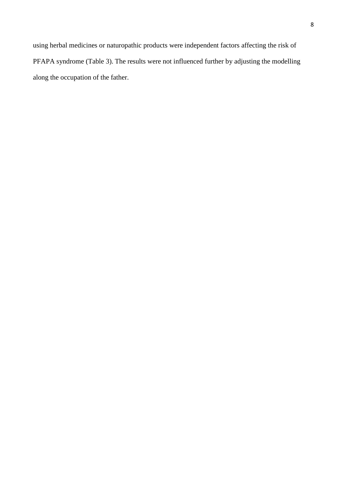using herbal medicines or naturopathic products were independent factors affecting the risk of PFAPA syndrome (Table 3). The results were not influenced further by adjusting the modelling along the occupation of the father.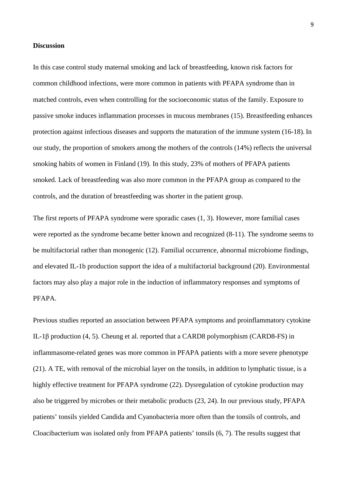# **Discussion**

In this case control study maternal smoking and lack of breastfeeding, known risk factors for common childhood infections, were more common in patients with PFAPA syndrome than in matched controls, even when controlling for the socioeconomic status of the family. Exposure to passive smoke induces inflammation processes in mucous membranes (15). Breastfeeding enhances protection against infectious diseases and supports the maturation of the immune system (16-18). In our study, the proportion of smokers among the mothers of the controls (14%) reflects the universal smoking habits of women in Finland (19). In this study, 23% of mothers of PFAPA patients smoked. Lack of breastfeeding was also more common in the PFAPA group as compared to the controls, and the duration of breastfeeding was shorter in the patient group.

The first reports of PFAPA syndrome were sporadic cases (1, 3). However, more familial cases were reported as the syndrome became better known and recognized (8-11). The syndrome seems to be multifactorial rather than monogenic (12). Familial occurrence, abnormal microbiome findings, and elevated IL-1b production support the idea of a multifactorial background (20). Environmental factors may also play a major role in the induction of inflammatory responses and symptoms of PFAPA.

Previous studies reported an association between PFAPA symptoms and proinflammatory cytokine IL-1β production (4, 5). Cheung et al. reported that a CARD8 polymorphism (CARD8-FS) in inflammasome-related genes was more common in PFAPA patients with a more severe phenotype (21). A TE, with removal of the microbial layer on the tonsils, in addition to lymphatic tissue, is a highly effective treatment for PFAPA syndrome (22). Dysregulation of cytokine production may also be triggered by microbes or their metabolic products (23, 24). In our previous study, PFAPA patients' tonsils yielded Candida and Cyanobacteria more often than the tonsils of controls, and Cloacibacterium was isolated only from PFAPA patients' tonsils (6, 7). The results suggest that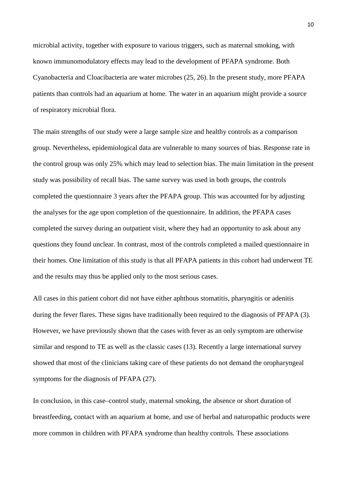microbial activity, together with exposure to various triggers, such as maternal smoking, with known immunomodulatory effects may lead to the development of PFAPA syndrome. Both Cyanobacteria and Cloacibacteria are water microbes (25, 26). In the present study, more PFAPA patients than controls had an aquarium at home. The water in an aquarium might provide a source of respiratory microbial flora.

The main strengths of our study were a large sample size and healthy controls as a comparison group. Nevertheless, epidemiological data are vulnerable to many sources of bias. Response rate in the control group was only 25% which may lead to selection bias. The main limitation in the present study was possibility of recall bias. The same survey was used in both groups, the controls completed the questionnaire 3 years after the PFAPA group. This was accounted for by adjusting the analyses for the age upon completion of the questionnaire. In addition, the PFAPA cases completed the survey during an outpatient visit, where they had an opportunity to ask about any questions they found unclear. In contrast, most of the controls completed a mailed questionnaire in their homes. One limitation of this study is that all PFAPA patients in this cohort had underwent TE and the results may thus be applied only to the most serious cases.

All cases in this patient cohort did not have either aphthous stomatitis, pharyngitis or adenitis during the fever flares. These signs have traditionally been required to the diagnosis of PFAPA (3). However, we have previously shown that the cases with fever as an only symptom are otherwise similar and respond to TE as well as the classic cases (13). Recently a large international survey showed that most of the clinicians taking care of these patients do not demand the oropharyngeal symptoms for the diagnosis of PFAPA (27).

In conclusion, in this case–control study, maternal smoking, the absence or short duration of breastfeeding, contact with an aquarium at home, and use of herbal and naturopathic products were more common in children with PFAPA syndrome than healthy controls. These associations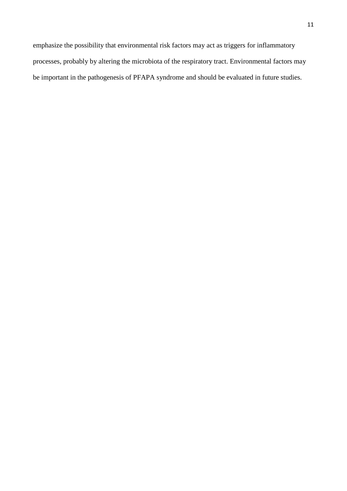emphasize the possibility that environmental risk factors may act as triggers for inflammatory processes, probably by altering the microbiota of the respiratory tract. Environmental factors may be important in the pathogenesis of PFAPA syndrome and should be evaluated in future studies.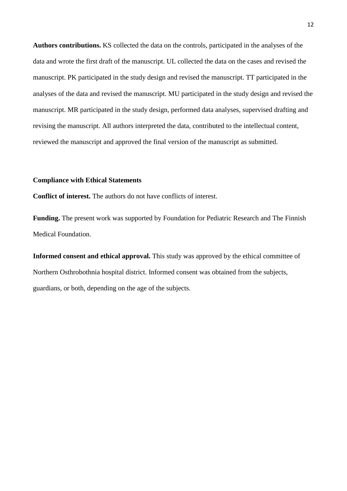**Authors contributions.** KS collected the data on the controls, participated in the analyses of the data and wrote the first draft of the manuscript. UL collected the data on the cases and revised the manuscript. PK participated in the study design and revised the manuscript. TT participated in the analyses of the data and revised the manuscript. MU participated in the study design and revised the manuscript. MR participated in the study design, performed data analyses, supervised drafting and revising the manuscript. All authors interpreted the data, contributed to the intellectual content, reviewed the manuscript and approved the final version of the manuscript as submitted.

#### **Compliance with Ethical Statements**

**Conflict of interest.** The authors do not have conflicts of interest.

**Funding.** The present work was supported by Foundation for Pediatric Research and The Finnish Medical Foundation.

**Informed consent and ethical approval.** This study was approved by the ethical committee of Northern Osthrobothnia hospital district. Informed consent was obtained from the subjects, guardians, or both, depending on the age of the subjects.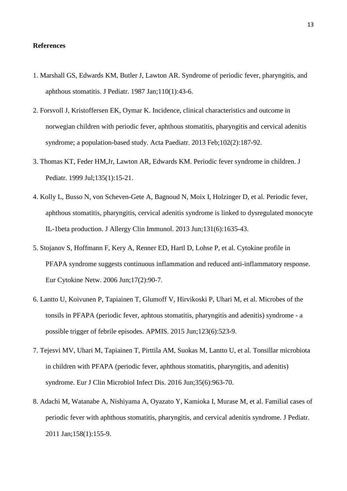# **References**

- 1. Marshall GS, Edwards KM, Butler J, Lawton AR. Syndrome of periodic fever, pharyngitis, and aphthous stomatitis. J Pediatr. 1987 Jan;110(1):43-6.
- 2. Forsvoll J, Kristoffersen EK, Oymar K. Incidence, clinical characteristics and outcome in norwegian children with periodic fever, aphthous stomatitis, pharyngitis and cervical adenitis syndrome; a population-based study. Acta Paediatr. 2013 Feb;102(2):187-92.
- 3. Thomas KT, Feder HM,Jr, Lawton AR, Edwards KM. Periodic fever syndrome in children. J Pediatr. 1999 Jul;135(1):15-21.
- 4. Kolly L, Busso N, von Scheven-Gete A, Bagnoud N, Moix I, Holzinger D, et al. Periodic fever, aphthous stomatitis, pharyngitis, cervical adenitis syndrome is linked to dysregulated monocyte IL-1beta production. J Allergy Clin Immunol. 2013 Jun;131(6):1635-43.
- 5. Stojanov S, Hoffmann F, Kery A, Renner ED, Hartl D, Lohse P, et al. Cytokine profile in PFAPA syndrome suggests continuous inflammation and reduced anti-inflammatory response. Eur Cytokine Netw. 2006 Jun;17(2):90-7.
- 6. Lantto U, Koivunen P, Tapiainen T, Glumoff V, Hirvikoski P, Uhari M, et al. Microbes of the tonsils in PFAPA (periodic fever, aphtous stomatitis, pharyngitis and adenitis) syndrome - a possible trigger of febrile episodes. APMIS. 2015 Jun;123(6):523-9.
- 7. Tejesvi MV, Uhari M, Tapiainen T, Pirttila AM, Suokas M, Lantto U, et al. Tonsillar microbiota in children with PFAPA (periodic fever, aphthous stomatitis, pharyngitis, and adenitis) syndrome. Eur J Clin Microbiol Infect Dis. 2016 Jun;35(6):963-70.
- 8. Adachi M, Watanabe A, Nishiyama A, Oyazato Y, Kamioka I, Murase M, et al. Familial cases of periodic fever with aphthous stomatitis, pharyngitis, and cervical adenitis syndrome. J Pediatr. 2011 Jan;158(1):155-9.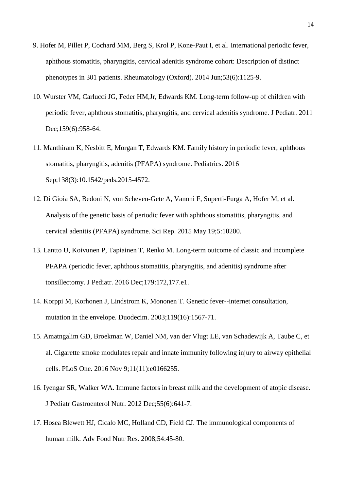- 9. Hofer M, Pillet P, Cochard MM, Berg S, Krol P, Kone-Paut I, et al. International periodic fever, aphthous stomatitis, pharyngitis, cervical adenitis syndrome cohort: Description of distinct phenotypes in 301 patients. Rheumatology (Oxford). 2014 Jun;53(6):1125-9.
- 10. Wurster VM, Carlucci JG, Feder HM,Jr, Edwards KM. Long-term follow-up of children with periodic fever, aphthous stomatitis, pharyngitis, and cervical adenitis syndrome. J Pediatr. 2011 Dec;159(6):958-64.
- 11. Manthiram K, Nesbitt E, Morgan T, Edwards KM. Family history in periodic fever, aphthous stomatitis, pharyngitis, adenitis (PFAPA) syndrome. Pediatrics. 2016 Sep;138(3):10.1542/peds.2015-4572.
- 12. Di Gioia SA, Bedoni N, von Scheven-Gete A, Vanoni F, Superti-Furga A, Hofer M, et al. Analysis of the genetic basis of periodic fever with aphthous stomatitis, pharyngitis, and cervical adenitis (PFAPA) syndrome. Sci Rep. 2015 May 19;5:10200.
- 13. Lantto U, Koivunen P, Tapiainen T, Renko M. Long-term outcome of classic and incomplete PFAPA (periodic fever, aphthous stomatitis, pharyngitis, and adenitis) syndrome after tonsillectomy. J Pediatr. 2016 Dec;179:172,177.e1.
- 14. Korppi M, Korhonen J, Lindstrom K, Mononen T. Genetic fever--internet consultation, mutation in the envelope. Duodecim. 2003;119(16):1567-71.
- 15. Amatngalim GD, Broekman W, Daniel NM, van der Vlugt LE, van Schadewijk A, Taube C, et al. Cigarette smoke modulates repair and innate immunity following injury to airway epithelial cells. PLoS One. 2016 Nov 9;11(11):e0166255.
- 16. Iyengar SR, Walker WA. Immune factors in breast milk and the development of atopic disease. J Pediatr Gastroenterol Nutr. 2012 Dec;55(6):641-7.
- 17. Hosea Blewett HJ, Cicalo MC, Holland CD, Field CJ. The immunological components of human milk. Adv Food Nutr Res. 2008;54:45-80.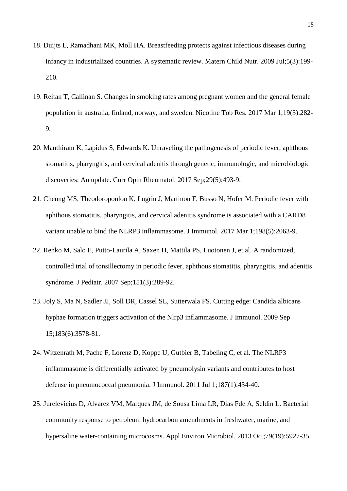- 18. Duijts L, Ramadhani MK, Moll HA. Breastfeeding protects against infectious diseases during infancy in industrialized countries. A systematic review. Matern Child Nutr. 2009 Jul;5(3):199- 210.
- 19. Reitan T, Callinan S. Changes in smoking rates among pregnant women and the general female population in australia, finland, norway, and sweden. Nicotine Tob Res. 2017 Mar 1;19(3):282- 9.
- 20. Manthiram K, Lapidus S, Edwards K. Unraveling the pathogenesis of periodic fever, aphthous stomatitis, pharyngitis, and cervical adenitis through genetic, immunologic, and microbiologic discoveries: An update. Curr Opin Rheumatol. 2017 Sep;29(5):493-9.
- 21. Cheung MS, Theodoropoulou K, Lugrin J, Martinon F, Busso N, Hofer M. Periodic fever with aphthous stomatitis, pharyngitis, and cervical adenitis syndrome is associated with a CARD8 variant unable to bind the NLRP3 inflammasome. J Immunol. 2017 Mar 1;198(5):2063-9.
- 22. Renko M, Salo E, Putto-Laurila A, Saxen H, Mattila PS, Luotonen J, et al. A randomized, controlled trial of tonsillectomy in periodic fever, aphthous stomatitis, pharyngitis, and adenitis syndrome. J Pediatr. 2007 Sep;151(3):289-92.
- 23. Joly S, Ma N, Sadler JJ, Soll DR, Cassel SL, Sutterwala FS. Cutting edge: Candida albicans hyphae formation triggers activation of the Nlrp3 inflammasome. J Immunol. 2009 Sep 15;183(6):3578-81.
- 24. Witzenrath M, Pache F, Lorenz D, Koppe U, Gutbier B, Tabeling C, et al. The NLRP3 inflammasome is differentially activated by pneumolysin variants and contributes to host defense in pneumococcal pneumonia. J Immunol. 2011 Jul 1;187(1):434-40.
- 25. Jurelevicius D, Alvarez VM, Marques JM, de Sousa Lima LR, Dias Fde A, Seldin L. Bacterial community response to petroleum hydrocarbon amendments in freshwater, marine, and hypersaline water-containing microcosms. Appl Environ Microbiol. 2013 Oct;79(19):5927-35.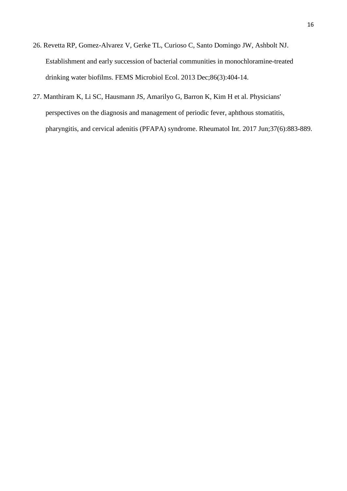- 26. Revetta RP, Gomez-Alvarez V, Gerke TL, Curioso C, Santo Domingo JW, Ashbolt NJ. Establishment and early succession of bacterial communities in monochloramine-treated drinking water biofilms. FEMS Microbiol Ecol. 2013 Dec;86(3):404-14.
- 27. [Manthiram K,](https://www.ncbi.nlm.nih.gov/pubmed/?term=Manthiram%20K%5BAuthor%5D&cauthor=true&cauthor_uid=28271158) [Li SC,](https://www.ncbi.nlm.nih.gov/pubmed/?term=Li%20SC%5BAuthor%5D&cauthor=true&cauthor_uid=28271158) [Hausmann JS,](https://www.ncbi.nlm.nih.gov/pubmed/?term=Hausmann%20JS%5BAuthor%5D&cauthor=true&cauthor_uid=28271158) [Amarilyo G,](https://www.ncbi.nlm.nih.gov/pubmed/?term=Amarilyo%20G%5BAuthor%5D&cauthor=true&cauthor_uid=28271158) [Barron K,](https://www.ncbi.nlm.nih.gov/pubmed/?term=Barron%20K%5BAuthor%5D&cauthor=true&cauthor_uid=28271158) [Kim H](https://www.ncbi.nlm.nih.gov/pubmed/?term=Kim%20H%5BAuthor%5D&cauthor=true&cauthor_uid=28271158) et al. Physicians' perspectives on the diagnosis and management of periodic fever, aphthous stomatitis, pharyngitis, and cervical adenitis (PFAPA) syndrome. [Rheumatol Int.](https://www.ncbi.nlm.nih.gov/pubmed/28271158) 2017 Jun;37(6):883-889.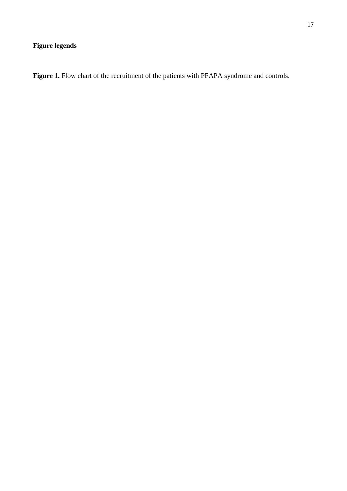# **Figure legends**

Figure 1. Flow chart of the recruitment of the patients with PFAPA syndrome and controls.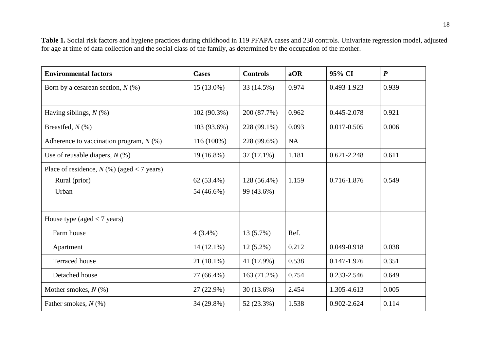**Table 1.** Social risk factors and hygiene practices during childhood in 119 PFAPA cases and 230 controls. Univariate regression model, adjusted for age at time of data collection and the social class of the family, as determined by the occupation of the mother.

| <b>Environmental factors</b>                 | <b>Cases</b> | <b>Controls</b> | aOR       | 95% CI          | $\boldsymbol{P}$ |
|----------------------------------------------|--------------|-----------------|-----------|-----------------|------------------|
| Born by a cesarean section, $N$ (%)          | $15(13.0\%)$ | 33 (14.5%)      | 0.974     | 0.493-1.923     | 0.939            |
|                                              |              |                 |           |                 |                  |
| Having siblings, $N$ (%)                     | 102 (90.3%)  | 200 (87.7%)     | 0.962     | 0.445-2.078     | 0.921            |
| Breastfed, $N$ (%)                           | 103 (93.6%)  | 228 (99.1%)     | 0.093     | 0.017-0.505     | 0.006            |
| Adherence to vaccination program, $N$ (%)    | 116 (100%)   | 228 (99.6%)     | <b>NA</b> |                 |                  |
| Use of reusable diapers, $N$ (%)             | 19 (16.8%)   | $37(17.1\%)$    | 1.181     | $0.621 - 2.248$ | 0.611            |
| Place of residence, $N$ (%) (aged < 7 years) |              |                 |           |                 |                  |
| Rural (prior)                                | $62(53.4\%)$ | 128 (56.4%)     | 1.159     | 0.716-1.876     | 0.549            |
| Urban                                        | 54 (46.6%)   | 99 (43.6%)      |           |                 |                  |
|                                              |              |                 |           |                 |                  |
| House type (aged $<$ 7 years)                |              |                 |           |                 |                  |
| Farm house                                   | $4(3.4\%)$   | 13 (5.7%)       | Ref.      |                 |                  |
| Apartment                                    | $14(12.1\%)$ | $12(5.2\%)$     | 0.212     | 0.049-0.918     | 0.038            |
| <b>Terraced</b> house                        | $21(18.1\%)$ | 41 (17.9%)      | 0.538     | 0.147-1.976     | 0.351            |
| Detached house                               | 77 (66.4%)   | 163 (71.2%)     | 0.754     | 0.233-2.546     | 0.649            |
| Mother smokes, $N$ (%)                       | $27(22.9\%)$ | 30(13.6%)       | 2.454     | 1.305-4.613     | 0.005            |
| Father smokes, $N$ (%)                       | 34 (29.8%)   | 52 (23.3%)      | 1.538     | 0.902-2.624     | 0.114            |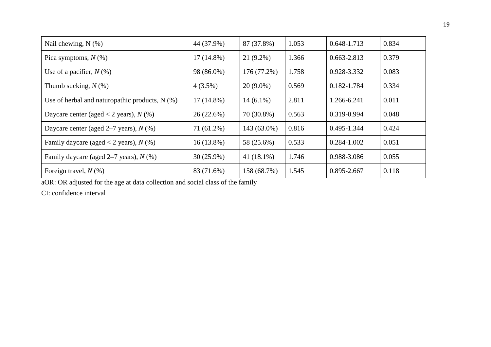| Nail chewing, $N$ $(\%)$                         | 44 (37.9%)   | 87 (37.8%)    | 1.053 | 0.648-1.713 | 0.834 |
|--------------------------------------------------|--------------|---------------|-------|-------------|-------|
| Pica symptoms, $N$ (%)                           | $17(14.8\%)$ | $21(9.2\%)$   | 1.366 | 0.663-2.813 | 0.379 |
| Use of a pacifier, $N(\%)$                       | 98 (86.0%)   | 176 (77.2%)   | 1.758 | 0.928-3.332 | 0.083 |
| Thumb sucking, $N$ (%)                           | $4(3.5\%)$   | $20(9.0\%)$   | 0.569 | 0.182-1.784 | 0.334 |
| Use of herbal and naturopathic products, $N$ (%) | $17(14.8\%)$ | $14(6.1\%)$   | 2.811 | 1.266-6.241 | 0.011 |
| Daycare center (aged < 2 years), $N$ (%)         | 26(22.6%)    | 70 (30.8%)    | 0.563 | 0.319-0.994 | 0.048 |
| Daycare center (aged $2-7$ years), $N$ (%)       | 71 (61.2%)   | 143 (63.0%)   | 0.816 | 0.495-1.344 | 0.424 |
| Family daycare (aged < 2 years), $N$ (%)         | $16(13.8\%)$ | 58 (25.6%)    | 0.533 | 0.284-1.002 | 0.051 |
| Family daycare (aged $2-7$ years), $N$ (%)       | $30(25.9\%)$ | 41 $(18.1\%)$ | 1.746 | 0.988-3.086 | 0.055 |
| Foreign travel, $N$ (%)                          | 83 (71.6%)   | 158 (68.7%)   | 1.545 | 0.895-2.667 | 0.118 |

aOR: OR adjusted for the age at data collection and social class of the family

CI: confidence interval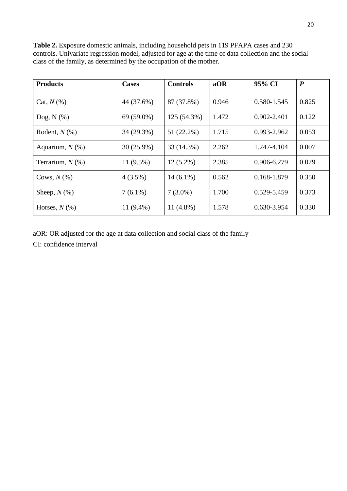| <b>Products</b>    | <b>Cases</b> | <b>Controls</b> | aOR   | 95% CI      | $\boldsymbol{P}$ |
|--------------------|--------------|-----------------|-------|-------------|------------------|
| Cat, $N(\%)$       | 44 (37.6%)   | 87 (37.8%)      | 0.946 | 0.580-1.545 | 0.825            |
| Dog, $N$ $(\%)$    | $69(59.0\%)$ | 125 (54.3%)     | 1.472 | 0.902-2.401 | 0.122            |
| Rodent, $N$ $(\%)$ | 34 (29.3%)   | 51 (22.2%)      | 1.715 | 0.993-2.962 | 0.053            |
| Aquarium, $N$ (%)  | $30(25.9\%)$ | 33 (14.3%)      | 2.262 | 1.247-4.104 | 0.007            |
| Terrarium, $N$ (%) | $11(9.5\%)$  | $12(5.2\%)$     | 2.385 | 0.906-6.279 | 0.079            |
| Cows, $N(\%)$      | $4(3.5\%)$   | $14(6.1\%)$     | 0.562 | 0.168-1.879 | 0.350            |
| Sheep, $N(\%)$     | $7(6.1\%)$   | $7(3.0\%)$      | 1.700 | 0.529-5.459 | 0.373            |
| Horses, $N(\%)$    | $11(9.4\%)$  | 11 $(4.8\%)$    | 1.578 | 0.630-3.954 | 0.330            |

**Table 2.** Exposure domestic animals, including household pets in 119 PFAPA cases and 230 controls. Univariate regression model, adjusted for age at the time of data collection and the social class of the family, as determined by the occupation of the mother.

aOR: OR adjusted for the age at data collection and social class of the family

CI: confidence interval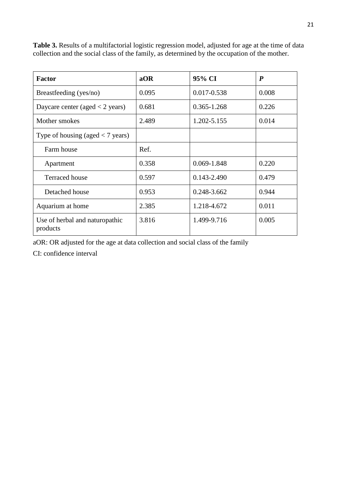| <b>Factor</b>                              | aOR   | 95% CI          | P     |
|--------------------------------------------|-------|-----------------|-------|
| Breastfeeding (yes/no)                     | 0.095 | 0.017-0.538     | 0.008 |
| Daycare center (aged $<$ 2 years)          | 0.681 | $0.365 - 1.268$ | 0.226 |
| Mother smokes                              | 2.489 | 1.202-5.155     | 0.014 |
| Type of housing (aged $<$ 7 years)         |       |                 |       |
| Farm house                                 | Ref.  |                 |       |
| Apartment                                  | 0.358 | 0.069-1.848     | 0.220 |
| <b>Terraced</b> house                      | 0.597 | 0.143-2.490     | 0.479 |
| Detached house                             | 0.953 | 0.248-3.662     | 0.944 |
| Aquarium at home                           | 2.385 | 1.218-4.672     | 0.011 |
| Use of herbal and naturopathic<br>products | 3.816 | 1.499-9.716     | 0.005 |

**Table 3.** Results of a multifactorial logistic regression model, adjusted for age at the time of data collection and the social class of the family, as determined by the occupation of the mother.

aOR: OR adjusted for the age at data collection and social class of the family

CI: confidence interval